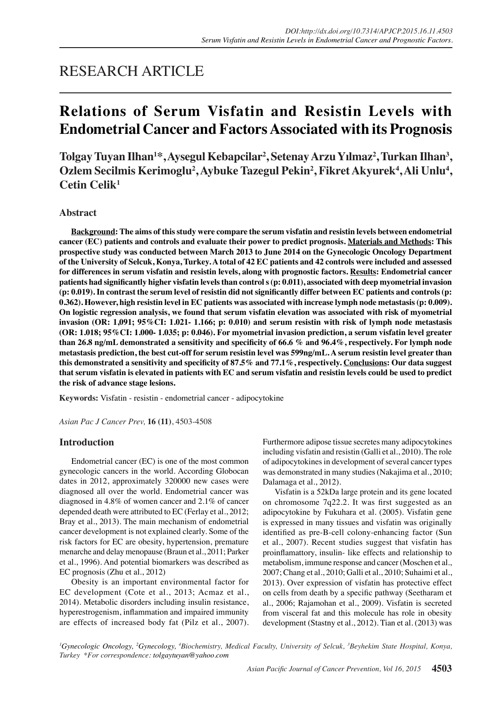## RESEARCH ARTICLE

# **Relations of Serum Visfatin and Resistin Levels with Endometrial Cancer and Factors Associated with its Prognosis**

**Tolgay Tuyan Ilhan1 \*, Aysegul Kebapcilar2 , Setenay Arzu Yılmaz<sup>2</sup> , Turkan Ilhan3 ,**  Ozlem Secilmis Kerimoglu<sup>2</sup>, Aybuke Tazegul Pekin<sup>2</sup>, Fikret Akyurek<sup>4</sup>, Ali Unlu<sup>4</sup>, **Cetin Celik1**

## **Abstract**

**Background: The aims of this study were compare the serum visfatin and resistin levels between endometrial cancer (EC) patients and controls and evaluate their power to predict prognosis. Materials and Methods: This prospective study was conducted between March 2013 to June 2014 on the Gynecologic Oncology Department of the University of Selcuk, Konya, Turkey. A total of 42 EC patients and 42 controls were included and assessed for differences in serum visfatin and resistin levels, along with prognostic factors. Results: Endometrial cancer patients had significantly higher visfatin levels than control s (p: 0.011), associated with deep myometrial invasion (p: 0.019). In contrast the serum level of resistin did not significantly differ between EC patients and controls (p: 0.362). However, high resistin level in EC patients was associated with increase lymph node metastasis (p: 0.009). On logistic regression analysis, we found that serum visfatin elevation was associated with risk of myometrial invasion (OR: 1,091; 95%CI: 1.021- 1.166; p: 0.010) and serum resistin with risk of lymph node metastasis (OR: 1.018; 95%CI: 1.000- 1.035; p: 0.046). For myometrial invasion prediction, a serum visfatin level greater than 26.8 ng/mL demonstrated a sensitivity and specificity of 66.6 % and 96.4%, respectively. For lymph node metastasis prediction, the best cut-off for serum resistin level was 599ng/mL. A serum resistin level greater than this demonstrated a sensitivity and specificity of 87.5% and 77.1%, respectively. Conclusions: Our data suggest that serum visfatin is elevated in patients with EC and serum visfatin and resistin levels could be used to predict the risk of advance stage lesions.**

**Keywords:** Visfatin - resistin - endometrial cancer - adipocytokine

*Asian Pac J Cancer Prev,* **16 (11)**, 4503-4508

### **Introduction**

Endometrial cancer (EC) is one of the most common gynecologic cancers in the world. According Globocan dates in 2012, approximately 320000 new cases were diagnosed all over the world. Endometrial cancer was diagnosed in 4.8% of women cancer and 2.1% of cancer depended death were attributed to EC (Ferlay et al., 2012; Bray et al., 2013). The main mechanism of endometrial cancer development is not explained clearly. Some of the risk factors for EC are obesity, hypertension, premature menarche and delay menopause (Braun et al., 2011; Parker et al., 1996). And potential biomarkers was described as EC prognosis (Zhu et al., 2012)

Obesity is an important environmental factor for EC development (Cote et al., 2013; Acmaz et al., 2014). Metabolic disorders including insulin resistance, hyperestrogenism, inflammation and impaired immunity are effects of increased body fat (Pilz et al., 2007).

Furthermore adipose tissue secretes many adipocytokines including visfatin and resistin (Galli et al., 2010). The role of adipocytokines in development of several cancer types was demonstrated in many studies (Nakajima et al., 2010; Dalamaga et al., 2012).

Visfatin is a 52kDa large protein and its gene located on chromosome 7q22.2. It was first suggested as an adipocytokine by Fukuhara et al. (2005). Visfatin gene is expressed in many tissues and visfatin was originally identified as pre-B-cell colony-enhancing factor (Sun et al., 2007). Recent studies suggest that visfatin has proinflamattory, insulin- like effects and relationship to metabolism, immune response and cancer (Moschen et al., 2007; Chang et al., 2010; Galli et al., 2010; Suhaimi et al., 2013). Over expression of visfatin has protective effect on cells from death by a specific pathway (Seetharam et al., 2006; Rajamohan et al., 2009). Visfatin is secreted from visceral fat and this molecule has role in obesity development (Stastny et al., 2012). Tian et al. (2013) was

<sup>1</sup>Gynecologic Oncology, <sup>2</sup>Gynecology, <sup>4</sup>Biochemistry, Medical Faculty, University of Selcuk, <sup>3</sup>Beyhekim State Hospital, Konya, *Turkey \*For correspondence: tolgaytuyan@yahoo.com*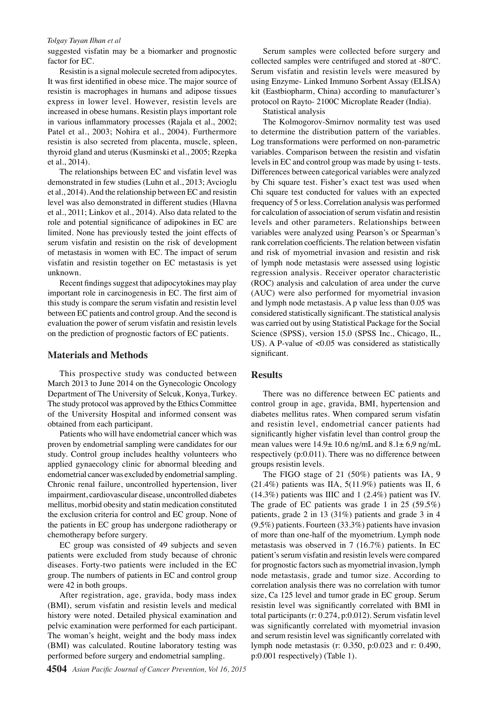#### *Tolgay Tuyan Ilhan et al*

suggested visfatin may be a biomarker and prognostic factor for EC.

Resistin is a signal molecule secreted from adipocytes. It was first identified in obese mice. The major source of resistin is macrophages in humans and adipose tissues express in lower level. However, resistin levels are increased in obese humans. Resistin plays important role in various inflammatory processes (Rajala et al., 2002; Patel et al., 2003; Nohira et al., 2004). Furthermore resistin is also secreted from placenta, muscle, spleen, thyroid gland and uterus (Kusminski et al., 2005; Rzepka et al., 2014).

The relationships between EC and visfatin level was demonstrated in few studies (Luhn et al., 2013; Avcioglu et al., 2014). And the relationship between EC and resistin level was also demonstrated in different studies (Hlavna et al., 2011; Linkov et al., 2014). Also data related to the role and potential significance of adipokines in EC are limited. None has previously tested the joint effects of serum visfatin and resistin on the risk of development of metastasis in women with EC. The impact of serum visfatin and resistin together on EC metastasis is yet unknown.

Recent findings suggest that adipocytokines may play important role in carcinogenesis in EC. The first aim of this study is compare the serum visfatin and resistin level between EC patients and control group. And the second is evaluation the power of serum visfatin and resistin levels on the prediction of prognostic factors of EC patients.

#### **Materials and Methods**

This prospective study was conducted between March 2013 to June 2014 on the Gynecologic Oncology Department of The University of Selcuk, Konya, Turkey. The study protocol was approved by the Ethics Committee of the University Hospital and informed consent was obtained from each participant.

Patients who will have endometrial cancer which was proven by endometrial sampling were candidates for our study. Control group includes healthy volunteers who applied gynaecology clinic for abnormal bleeding and endometrial cancer was excluded by endometrial sampling. Chronic renal failure, uncontrolled hypertension, liver impairment, cardiovascular disease, uncontrolled diabetes mellitus, morbid obesity and statin medication constituted the exclusion criteria for control and EC group. None of the patients in EC group has undergone radiotherapy or chemotherapy before surgery.

EC group was consisted of 49 subjects and seven patients were excluded from study because of chronic diseases. Forty-two patients were included in the EC group. The numbers of patients in EC and control group were 42 in both groups.

After registration, age, gravida, body mass index (BMI), serum visfatin and resistin levels and medical history were noted. Detailed physical examination and pelvic examination were performed for each participant. The woman's height, weight and the body mass index (BMI) was calculated. Routine laboratory testing was performed before surgery and endometrial sampling.

Serum samples were collected before surgery and collected samples were centrifuged and stored at -80ºC. Serum visfatin and resistin levels were measured by using Enzyme- Linked Immuno Sorbent Assay (ELİSA) kit (Eastbiopharm, China) according to manufacturer's protocol on Rayto- 2100C Microplate Reader (India).

Statistical analysis

The Kolmogorov-Smirnov normality test was used to determine the distribution pattern of the variables. Log transformations were performed on non-parametric variables. Comparison between the resistin and visfatin levels in EC and control group was made by using t- tests. Differences between categorical variables were analyzed by Chi square test. Fisher's exact test was used when Chi square test conducted for values with an expected frequency of 5 or less. Correlation analysis was performed for calculation of association of serum visfatin and resistin levels and other parameters. Relationships between variables were analyzed using Pearson's or Spearman's rank correlation coefficients. The relation between visfatin and risk of myometrial invasion and resistin and risk of lymph node metastasis were assessed using logistic regression analysis. Receiver operator characteristic (ROC) analysis and calculation of area under the curve (AUC) were also performed for myometrial invasion and lymph node metastasis. A p value less than 0.05 was considered statistically significant. The statistical analysis was carried out by using Statistical Package for the Social Science (SPSS), version 15.0 (SPSS Inc., Chicago, IL, US). A P-value of <0.05 was considered as statistically significant.

#### **Results**

There was no difference between EC patients and control group in age, gravida, BMI, hypertension and diabetes mellitus rates. When compared serum visfatin and resistin level, endometrial cancer patients had significantly higher visfatin level than control group the mean values were  $14.9 \pm 10.6$  ng/mL and  $8.1 \pm 6.9$  ng/mL respectively (p:0.011). There was no difference between groups resistin levels.

The FIGO stage of 21 (50%) patients was IA, 9 (21.4%) patients was IIA, 5(11.9%) patients was II, 6 (14.3%) patients was IIIC and 1 (2.4%) patient was IV. The grade of EC patients was grade 1 in 25 (59.5%) patients, grade 2 in 13 (31%) patients and grade 3 in 4 (9.5%) patients. Fourteen (33.3%) patients have invasion of more than one-half of the myometrium. Lymph node metastasis was observed in 7 (16.7%) patients. In EC patient's serum visfatin and resistin levels were compared for prognostic factors such as myometrial invasion, lymph node metastasis, grade and tumor size. According to correlation analysis there was no correlation with tumor size, Ca 125 level and tumor grade in EC group. Serum resistin level was significantly correlated with BMI in total participants (r: 0.274, p:0.012). Serum visfatin level was significantly correlated with myometrial invasion and serum resistin level was significantly correlated with lymph node metastasis (r: 0.350, p:0.023 and r: 0.490, p:0.001 respectively) (Table 1).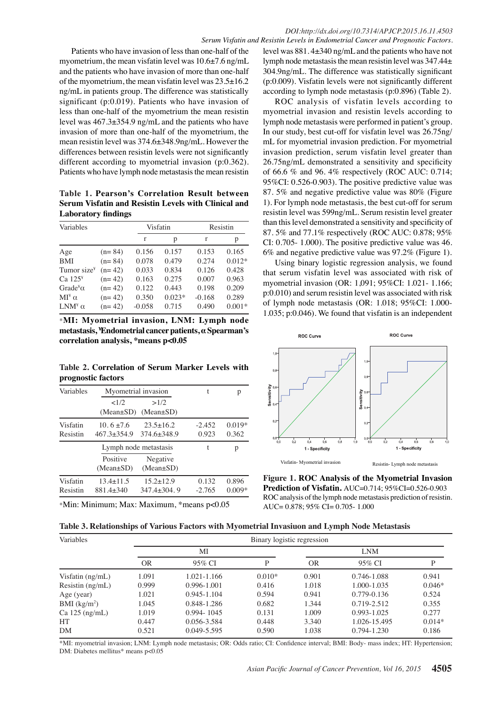Patients who have invasion of less than one-half of the myometrium, the mean visfatin level was 10.6±7.6 ng/mL and the patients who have invasion of more than one-half of the myometrium, the mean visfatin level was  $23.5\pm16.2$ ng/mL in patients group. The difference was statistically significant (p:0.019). Patients who have invasion of less than one-half of the myometrium the mean resistin level was 467.3±354.9 ng/mL and the patients who have invasion of more than one-half of the myometrium, the mean resistin level was 374.6±348.9ng/mL. However the differences between resistin levels were not significantly different according to myometrial invasion (p:0.362). Patients who have lymph node metastasis the mean resistin

**Table 1. Pearson's Correlation Result between Serum Visfatin and Resistin Levels with Clinical and Laboratory findings**

| Variables                            |          | Visfatin |          | Resistin |          |
|--------------------------------------|----------|----------|----------|----------|----------|
|                                      |          | r        | р        | r        | р        |
| Age                                  | $(n=84)$ | 0.156    | 0.157    | 0.153    | 0.165    |
| <b>BMI</b>                           | $(n=84)$ | 0.078    | 0.479    | 0.274    | $0.012*$ |
| Tumor size <sup>¥</sup>              | $(n=42)$ | 0.033    | 0.834    | 0.126    | 0.428    |
| Ca $125y$                            | $(n=42)$ | 0.163    | 0.275    | 0.007    | 0.963    |
| Grade <sup><math>\alpha</math></sup> | $(n=42)$ | 0.122    | 0.443    | 0.198    | 0.209    |
| $MI^{\gamma} \alpha$                 | $(n=42)$ | 0.350    | $0.023*$ | $-0.168$ | 0.289    |
| $LM^{\gamma}$ $\alpha$               | $(n=42)$ | $-0.058$ | 0.715    | 0.490    | $0.001*$ |

\***MI: Myometrial invasion, LNM: Lymph node metastasis, ¥ Endometrial cancer patients, α Spearman's correlation analysis, \*means p<0.05**

**Table 2. Correlation of Serum Marker Levels with prognostic factors**

| Variables            | Myometrial invasion             | t                                    | р                 |                   |
|----------------------|---------------------------------|--------------------------------------|-------------------|-------------------|
|                      | <1/2<br>$(Mean \pm SD)$         | >1/2<br>$(Mean \pm SD)$              |                   |                   |
| Visfatin<br>Resistin | $10.6 \pm 7.6$<br>$467.3+354.9$ | $23.5 \pm 16.2$<br>$374.6 \pm 348.9$ | $-2.452$<br>0.923 | $0.019*$<br>0.362 |
|                      | Lymph node metastasis           |                                      |                   | p                 |
|                      | Positive<br>$(Mean \pm SD)$     | Negative<br>$(Mean \pm SD)$          |                   |                   |
| Visfatin<br>Resistin | $13.4 \pm 11.5$<br>881.4+340    | $15.2 + 12.9$<br>$347.4 + 304.9$     | 0.132<br>$-2.765$ | 0.896<br>$0.009*$ |

\*Min: Minimum; Max: Maximum, \*means p<0.05

level was 881. 4±340 ng/mL and the patients who have not lymph node metastasis the mean resistin level was 347.44± 304.9ng/mL. The difference was statistically significant (p:0.009). Visfatin levels were not significantly different according to lymph node metastasis (p:0.896) (Table 2).

ROC analysis of visfatin levels according to myometrial invasion and resistin levels according to lymph node metastasis were performed in patient's group. In our study, best cut-off for visfatin level was 26.75ng/ mL for myometrial invasion prediction. For myometrial invasion prediction, serum visfatin level greater than 26.75ng/mL demonstrated a sensitivity and specificity of 66.6 % and 96. 4% respectively (ROC AUC: 0.714; 95%CI: 0.526-0.903). The positive predictive value was 87. 5% and negative predictive value was 80% (Figure 1). For lymph node metastasis, the best cut-off for serum resistin level was 599ng/mL. Serum resistin level greater than this level demonstrated a sensitivity and specificity of 87. 5% and 77.1% respectively (ROC AUC: 0.878; 95% CI: 0.705- 1.000). The positive predictive value was 46. 6% and negative predictive value was 97.2% (Figure 1).

Using binary logistic regression analysis, we found that serum visfatin level was associated with risk of myometrial invasion (OR: 1,091; 95%CI: 1.021- 1.166; p:0.010) and serum resistin level was associated with risk of lymph node metastasis (OR: 1.018; 95%CI: 1.000- 1.035; p:0.046). We found that visfatin is an independent



**Figure 1. ROC Analysis of the Myometrial Invasion Prediction of Visfatin.** AUC=0.714; 95%CI=0.526-0.903 ROC analysis of the lymph node metastasis prediction of resistin. AUC= 0.878; 95% CI= 0.705- 1.000

| Variables          |           | Binary logistic regression |          |            |                 |          |  |  |
|--------------------|-----------|----------------------------|----------|------------|-----------------|----------|--|--|
|                    | MI        |                            |          | <b>LNM</b> |                 |          |  |  |
|                    | <b>OR</b> | 95% CI                     | P        | <b>OR</b>  | 95% CI          | P        |  |  |
| Visfatin $(ng/mL)$ | 1.091     | 1.021-1.166                | $0.010*$ | 0.901      | 0.746-1.088     | 0.941    |  |  |
| Resistin $(ng/mL)$ | 0.999     | $0.996 - 1.001$            | 0.416    | 1.018      | 1.000-1.035     | $0.046*$ |  |  |
| Age (year)         | 1.021     | $0.945 - 1.104$            | 0.594    | 0.941      | $0.779 - 0.136$ | 0.524    |  |  |
| BMI $(kg/m2)$      | 1.045     | 0.848-1.286                | 0.682    | 1.344      | 0.719-2.512     | 0.355    |  |  |
| $Ca$ 125 $(ng/mL)$ | 1.019     | $0.994 - 1045$             | 0.131    | 1.009      | $0.993 - 1.025$ | 0.277    |  |  |
| HT                 | 0.447     | 0.056-3.584                | 0.448    | 3.340      | 1.026-15.495    | $0.014*$ |  |  |
| DM                 | 0.521     | $0.049 - 5.595$            | 0.590    | 1.038      | 0.794-1.230     | 0.186    |  |  |

\*MI: myometrial invasion; LNM: Lymph node metastasis; OR: Odds ratio; CI: Confidence interval; BMI: Body- mass index; HT: Hypertension; DM: Diabetes mellitus\* means p<0.05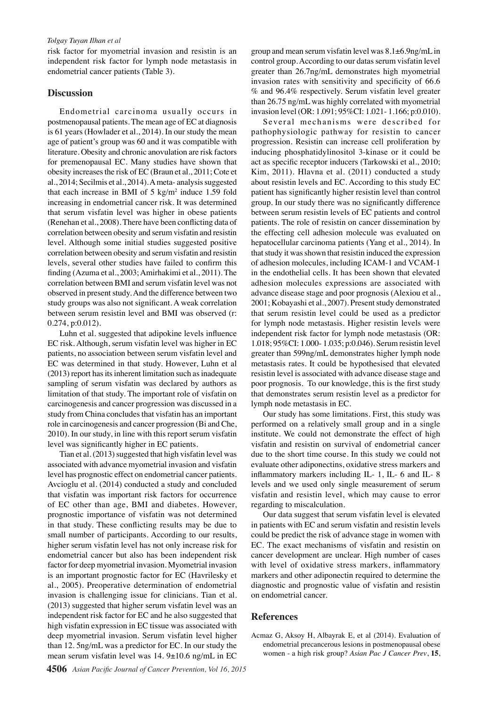#### *Tolgay Tuyan Ilhan et al*

risk factor for myometrial invasion and resistin is an independent risk factor for lymph node metastasis in endometrial cancer patients (Table 3).

#### **Discussion**

Endometrial carcinoma usually occurs in postmenopausal patients. The mean age of EC at diagnosis is 61 years (Howlader et al., 2014). In our study the mean age of patient's group was 60 and it was compatible with literature. Obesity and chronic anovulation are risk factors for premenopausal EC. Many studies have shown that obesity increases the risk of EC (Braun et al., 2011; Cote et al., 2014; Secilmis et al., 2014). A meta- analysis suggested that each increase in BMI of  $5 \text{ kg/m}^2$  induce 1.59 fold increasing in endometrial cancer risk. It was determined that serum visfatin level was higher in obese patients (Renehan et al., 2008). There have been conflicting data of correlation between obesity and serum visfatin and resistin level. Although some initial studies suggested positive correlation between obesity and serum visfatin and resistin levels, several other studies have failed to confirm this finding (Azuma et al., 2003; Amirhakimi et al., 2011). The correlation between BMI and serum visfatin level was not observed in present study. And the difference between two study groups was also not significant. A weak correlation between serum resistin level and BMI was observed (r: 0.274, p:0.012).

Luhn et al. suggested that adipokine levels influence EC risk. Although, serum visfatin level was higher in EC patients, no association between serum visfatin level and EC was determined in that study. However, Luhn et al (2013) report has its inherent limitation such as inadequate sampling of serum visfatin was declared by authors as limitation of that study. The important role of visfatin on carcinogenesis and cancer progression was discussed in a study from China concludes that visfatin has an important role in carcinogenesis and cancer progression (Bi and Che, 2010). In our study, in line with this report serum visfatin level was significantly higher in EC patients.

Tian et al. (2013) suggested that high visfatin level was associated with advance myometrial invasion and visfatin level has prognostic effect on endometrial cancer patients. Avcioglu et al. (2014) conducted a study and concluded that visfatin was important risk factors for occurrence of EC other than age, BMI and diabetes. However, prognostic importance of visfatin was not determined in that study. These conflicting results may be due to small number of participants. According to our results, higher serum visfatin level has not only increase risk for endometrial cancer but also has been independent risk factor for deep myometrial invasion. Myometrial invasion is an important prognostic factor for EC (Havrilesky et al., 2005). Preoperative determination of endometrial invasion is challenging issue for clinicians. Tian et al. (2013) suggested that higher serum visfatin level was an independent risk factor for EC and he also suggested that high visfatin expression in EC tissue was associated with deep myometrial invasion. Serum visfatin level higher than 12. 5ng/mL was a predictor for EC. In our study the mean serum visfatin level was 14. 9±10.6 ng/mL in EC

group and mean serum visfatin level was 8.1±6.9ng/mL in control group. According to our datas serum visfatin level greater than 26.7ng/mL demonstrates high myometrial invasion rates with sensitivity and specificity of 66.6 % and 96.4% respectively. Serum visfatin level greater than 26.75 ng/mL was highly correlated with myometrial invasion level (OR: 1.091; 95%CI: 1.021- 1.166; p:0.010).

Several mechanisms were described for pathophysiologic pathway for resistin to cancer progression. Resistin can increase cell proliferation by inducing phosphatidylinositol 3-kinase or it could be act as specific receptor inducers (Tarkowski et al., 2010; Kim, 2011). Hlavna et al. (2011) conducted a study about resistin levels and EC. According to this study EC patient has significantly higher resistin level than control group. In our study there was no significantly difference between serum resistin levels of EC patients and control patients. The role of resistin on cancer dissemination by the effecting cell adhesion molecule was evaluated on hepatocellular carcinoma patients (Yang et al., 2014). In that study it was shown that resistin induced the expression of adhesion molecules, including ICAM-1 and VCAM-1 in the endothelial cells. It has been shown that elevated adhesion molecules expressions are associated with advance disease stage and poor prognosis (Alexiou et al., 2001; Kobayashi et al., 2007). Present study demonstrated that serum resistin level could be used as a predictor for lymph node metastasis. Higher resistin levels were independent risk factor for lymph node metastasis (OR: 1.018; 95%CI: 1.000- 1.035; p:0.046). Serum resistin level greater than 599ng/mL demonstrates higher lymph node metastasis rates. It could be hypothesised that elevated resistin level is associated with advance disease stage and poor prognosis. To our knowledge, this is the first study that demonstrates serum resistin level as a predictor for lymph node metastasis in EC.

Our study has some limitations. First, this study was performed on a relatively small group and in a single institute. We could not demonstrate the effect of high visfatin and resistin on survival of endometrial cancer due to the short time course. In this study we could not evaluate other adiponectins, oxidative stress markers and inflammatory markers including IL- 1, IL- 6 and IL- 8 levels and we used only single measurement of serum visfatin and resistin level, which may cause to error regarding to miscalculation.

Our data suggest that serum visfatin level is elevated in patients with EC and serum visfatin and resistin levels could be predict the risk of advance stage in women with EC. The exact mechanisms of visfatin and resistin on cancer development are unclear. High number of cases with level of oxidative stress markers, inflammatory markers and other adiponectin required to determine the diagnostic and prognostic value of visfatin and resistin on endometrial cancer.

#### **References**

Acmaz G, Aksoy H, Albayrak E, et al (2014). Evaluation of endometrial precancerous lesions in postmenopausal obese women - a high risk group? *Asian Pac J Cancer Prev*, **15**,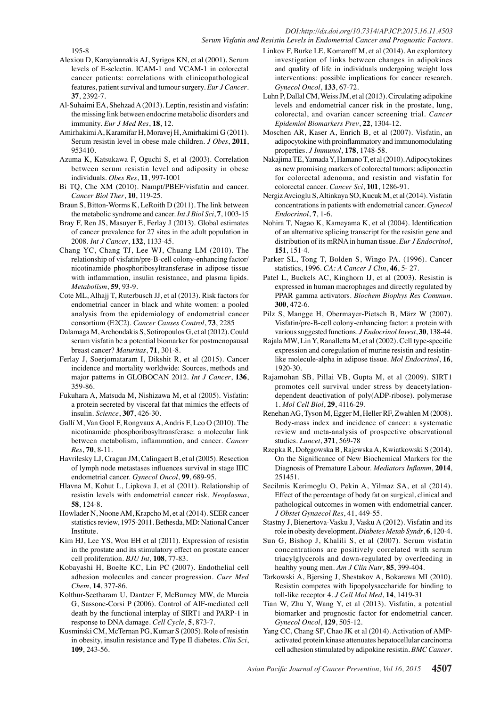#### *DOI:http://dx.doi.org/10.7314/APJCP.2015.16.11.4503 Serum Visfatin and Resistin Levels in Endometrial Cancer and Prognostic Factors.*

195-8

- Alexiou D, Karayiannakis AJ, Syrigos KN, et al (2001). Serum levels of E-selectin. ICAM-1 and VCAM-1 in colorectal cancer patients: correlations with clinicopathological features, patient survival and tumour surgery. *Eur J Cancer*. **37**, 2392-7.
- Al-Suhaimi EA, Shehzad A (2013). Leptin, resistin and visfatin: the missing link between endocrine metabolic disorders and immunity. *Eur J Med Res*, **18**, 12.
- Amirhakimi A, Karamifar H, Moravej H, Amirhakimi G (2011). Serum resistin level in obese male children. *J Obes*, **2011**, 953410.
- Azuma K, Katsukawa F, Oguchi S, et al (2003). Correlation between serum resistin level and adiposity in obese individuals. *Obes Res*, **11**, 997-1001
- Bi TQ, Che XM (2010). Nampt/PBEF/visfatin and cancer. *Cancer Biol Ther*, **10**, 119-25.
- Braun S, Bitton-Worms K, LeRoith D (2011). The link between the metabolic syndrome and cancer. *Int J Biol Sci*, **7**, 1003-15
- Bray F, Ren JS, Masuyer E, Ferlay J (2013). Global estimates of cancer prevalence for 27 sites in the adult population in 2008. *Int J Cancer*, **132**, 1133-45.
- Chang YC, Chang TJ, Lee WJ, Chuang LM (2010). The relationship of visfatin/pre-B-cell colony-enhancing factor/ nicotinamide phosphoribosyltransferase in adipose tissue with inflammation, insulin resistance, and plasma lipids. *Metabolism*, **59**, 93-9.
- Cote ML, Alhajj T, Ruterbusch JJ, et al (2013). Risk factors for endometrial cancer in black and white women: a pooled analysis from the epidemiology of endometrial cancer consortium (E2C2). *Cancer Causes Control*, **73**, 2285
- Dalamaga M, Archondakis S, Sotiropoulos G, et al (2012). Could serum visfatin be a potential biomarker for postmenopausal breast cancer? *Maturitas*, **71**, 301-8.
- Ferlay J, Soerjomataram I, Dikshit R, et al (2015). Cancer incidence and mortality worldwide: Sources, methods and major patterns in GLOBOCAN 2012. *Int J Cancer*, **136**, 359-86.
- Fukuhara A, Matsuda M, Nishizawa M, et al (2005). Visfatin: a protein secreted by visceral fat that mimics the effects of insulin. *Science*, **307**, 426-30.
- Gallí M, Van Gool F, Rongvaux A, Andris F, Leo O (2010). The nicotinamide phosphoribosyltransferase: a molecular link between metabolism, inflammation, and cancer. *Cancer Res*, **70**, 8-11.
- Havrilesky LJ, Cragun JM, Calingaert B, et al (2005). Resection of lymph node metastases influences survival in stage IIIC endometrial cancer. *Gynecol Oncol*, **99**, 689-95.
- Hlavna M, Kohut L, Lipkova J, et al (2011). Relationship of resistin levels with endometrial cancer risk. *Neoplasma*, **58**, 124-8.
- Howlader N, Noone AM, Krapcho M, et al (2014). SEER cancer statistics review, 1975-2011. Bethesda, MD: National Cancer Institute.
- Kim HJ, Lee YS, Won EH et al (2011). Expression of resistin in the prostate and its stimulatory effect on prostate cancer cell proliferation. *BJU Int*, **108**, 77-83.
- Kobayashi H, Boelte KC, Lin PC (2007). Endothelial cell adhesion molecules and cancer progression. *Curr Med Chem*, **14**, 377-86.
- Kolthur-Seetharam U, Dantzer F, McBurney MW, de Murcia G, Sassone-Corsi P (2006). Control of AIF-mediated cell death by the functional interplay of SIRT1 and PARP-1 in response to DNA damage. *Cell Cycle*, **5**, 873-7.
- Kusminski CM, McTernan PG, Kumar S (2005). Role of resistin in obesity, insulin resistance and Type II diabetes. *Clin Sci*, **109**, 243-56.
- Linkov F, Burke LE, Komaroff M, et al (2014). An exploratory investigation of links between changes in adipokines and quality of life in individuals undergoing weight loss interventions: possible implications for cancer research. *Gynecol Oncol*, **133**, 67-72.
- Luhn P, Dallal CM, Weiss JM, et al (2013). Circulating adipokine levels and endometrial cancer risk in the prostate, lung, colorectal, and ovarian cancer screening trial. *Cancer Epidemiol Biomarkers Prev*, **22**, 1304-12.
- Moschen AR, Kaser A, Enrich B, et al (2007). Visfatin, an adipocytokine with proinflammatory and immunomodulating properties. *J Immunol*, **178**, 1748-58.
- Nakajima TE, Yamada Y, Hamano T, et al (2010). Adipocytokines as new promising markers of colorectal tumors: adiponectin for colorectal adenoma, and resistin and visfatin for colorectal cancer. *Cancer Sci*, **101**, 1286-91.
- Nergiz Avcioglu S, Altinkaya SO, Kucuk M, et al (2014). Visfatin concentrations in patients with endometrial cancer. *Gynecol Endocrinol*, **7**, 1-6.
- Nohira T, Nagao K, Kameyama K, et al (2004). Identification of an alternative splicing transcript for the resistin gene and distribution of its mRNA in human tissue. *Eur J Endocrinol*, **151**, 151-4.
- Parker SL, Tong T, Bolden S, Wingo PA. (1996). Cancer statistics, 1996. *CA: A Cancer J Clin*, **46**, 5- 27.
- Patel L, Buckels AC, Kinghorn IJ, et al (2003). Resistin is expressed in human macrophages and directly regulated by PPAR gamma activators. *Biochem Biophys Res Commun*. **300**, 472-6.
- Pilz S, Mangge H, Obermayer-Pietsch B, März W (2007). Visfatin/pre-B-cell colony-enhancing factor: a protein with various suggested functions. *J Endocrinol Invest*, **30**, 138-44.
- Rajala MW, Lin Y, Ranalletta M, et al (2002). Cell type-specific expression and coregulation of murine resistin and resistinlike molecule-alpha in adipose tissue. *Mol Endocrinol*, **16**, 1920-30.
- Rajamohan SB, Pillai VB, Gupta M, et al (2009). SIRT1 promotes cell survival under stress by deacetylationdependent deactivation of poly(ADP-ribose). polymerase 1. *Mol Cell Biol*, **29**, 4116-29.
- Renehan AG, Tyson M, Egger M, Heller RF, Zwahlen M (2008). Body-mass index and incidence of cancer: a systematic review and meta-analysis of prospective observational studies. *Lancet*, **371**, 569-78
- Rzepka R, Dołęgowska B, Rajewska A, Kwiatkowski S (2014). On the Significance of New Biochemical Markers for the Diagnosis of Premature Labour. *Mediators Inflamm*, **2014**, 251451.
- Secilmis Kerimoglu O, Pekin A, Yilmaz SA, et al (2014). Effect of the percentage of body fat on surgical, clinical and pathological outcomes in women with endometrial cancer. *J Obstet Gynaecol Res*, 41, 449-55.
- Stastny J, Bienertova-Vasku J, Vasku A (2012). Visfatin and its role in obesity development. *Diabetes Metab Syndr*, **6**, 120-4.
- Sun G, Bishop J, Khalili S, et al (2007). Serum visfatin concentrations are positively correlated with serum triacylglycerols and down-regulated by overfeeding in healthy young men. *Am J Clin Nutr*, **85**, 399-404.
- Tarkowski A, Bjersing J, Shestakov A, Bokarewa MI (2010). Resistin competes with lipopolysaccharide for binding to toll-like receptor 4. *J Cell Mol Med*, **14**, 1419-31
- Tian W, Zhu Y, Wang Y, et al (2013). Visfatin, a potential biomarker and prognostic factor for endometrial cancer. *Gynecol Oncol*, **129**, 505-12.
- Yang CC, Chang SF, Chao JK et al (2014). Activation of AMPactivated protein kinase attenuates hepatocellular carcinoma cell adhesion stimulated by adipokine resistin. *BMC Cancer*.